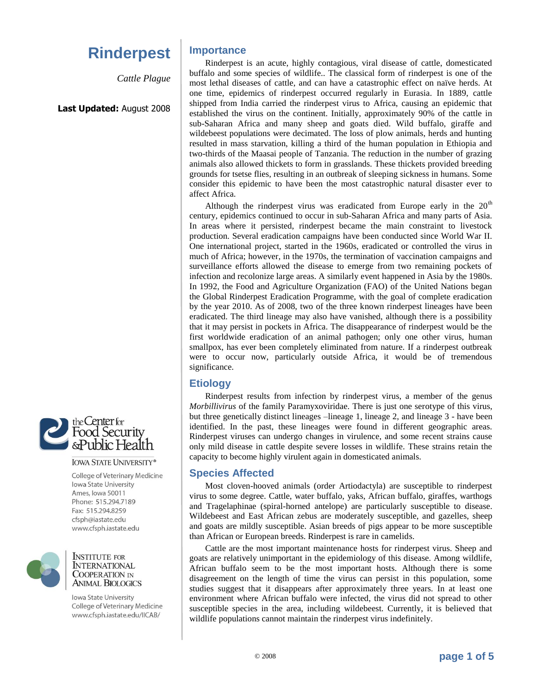# **Rinderpest**

*Cattle Plague*

### **Last Updated:** August 2008



#### **IOWA STATE UNIVERSITY®**

College of Veterinary Medicine **lowa State University** Ames, Iowa 50011 Phone: 515.294.7189 Fax: 515.294.8259 cfsph@iastate.edu www.cfsph.iastate.edu



**INSTITUTE FOR INTERNATIONAL COOPERATION IN ANIMAL BIOLOGICS** 

Iowa State University College of Veterinary Medicine www.cfsph.iastate.edu/IICAB/

# **Importance**

Rinderpest is an acute, highly contagious, viral disease of cattle, domesticated buffalo and some species of wildlife.. The classical form of rinderpest is one of the most lethal diseases of cattle, and can have a catastrophic effect on naïve herds. At one time, epidemics of rinderpest occurred regularly in Eurasia. In 1889, cattle shipped from India carried the rinderpest virus to Africa, causing an epidemic that established the virus on the continent. Initially, approximately 90% of the cattle in sub-Saharan Africa and many sheep and goats died. Wild buffalo, giraffe and wildebeest populations were decimated. The loss of plow animals, herds and hunting resulted in mass starvation, killing a third of the human population in Ethiopia and two-thirds of the Maasai people of Tanzania. The reduction in the number of grazing animals also allowed thickets to form in grasslands. These thickets provided breeding grounds for tsetse flies, resulting in an outbreak of sleeping sickness in humans. Some consider this epidemic to have been the most catastrophic natural disaster ever to affect Africa.

Although the rinderpest virus was eradicated from Europe early in the  $20<sup>th</sup>$ century, epidemics continued to occur in sub-Saharan Africa and many parts of Asia. In areas where it persisted, rinderpest became the main constraint to livestock production. Several eradication campaigns have been conducted since World War II. One international project, started in the 1960s, eradicated or controlled the virus in much of Africa; however, in the 1970s, the termination of vaccination campaigns and surveillance efforts allowed the disease to emerge from two remaining pockets of infection and recolonize large areas. A similarly event happened in Asia by the 1980s. In 1992, the Food and Agriculture Organization (FAO) of the United Nations began the Global Rinderpest Eradication Programme, with the goal of complete eradication by the year 2010. As of 2008, two of the three known rinderpest lineages have been eradicated. The third lineage may also have vanished, although there is a possibility that it may persist in pockets in Africa. The disappearance of rinderpest would be the first worldwide eradication of an animal pathogen; only one other virus, human smallpox, has ever been completely eliminated from nature. If a rinderpest outbreak were to occur now, particularly outside Africa, it would be of tremendous significance.

# **Etiology**

Rinderpest results from infection by rinderpest virus, a member of the genus *Morbillivirus* of the family Paramyxoviridae. There is just one serotype of this virus, but three genetically distinct lineages –lineage 1, lineage 2, and lineage 3 - have been identified. In the past, these lineages were found in different geographic areas. Rinderpest viruses can undergo changes in virulence, and some recent strains cause only mild disease in cattle despite severe losses in wildlife. These strains retain the capacity to become highly virulent again in domesticated animals.

## **Species Affected**

Most cloven-hooved animals (order Artiodactyla) are susceptible to rinderpest virus to some degree. Cattle, water buffalo, yaks, African buffalo, giraffes, warthogs and Tragelaphinae (spiral-horned antelope) are particularly susceptible to disease. Wildebeest and East African zebus are moderately susceptible, and gazelles, sheep and goats are mildly susceptible. Asian breeds of pigs appear to be more susceptible than African or European breeds. Rinderpest is rare in camelids.

Cattle are the most important maintenance hosts for rinderpest virus. Sheep and goats are relatively unimportant in the epidemiology of this disease. Among wildlife, African buffalo seem to be the most important hosts. Although there is some disagreement on the length of time the virus can persist in this population, some studies suggest that it disappears after approximately three years. In at least one environment where African buffalo were infected, the virus did not spread to other susceptible species in the area, including wildebeest. Currently, it is believed that wildlife populations cannot maintain the rinderpest virus indefinitely.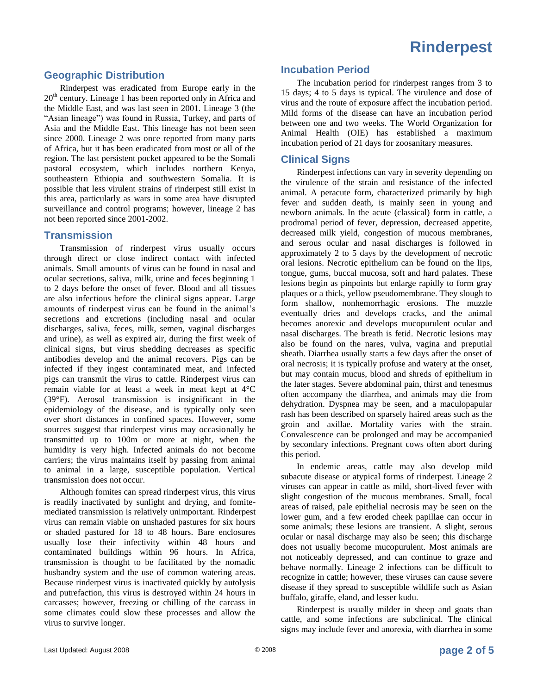# **Geographic Distribution**

Rinderpest was eradicated from Europe early in the 20<sup>th</sup> century. Lineage 1 has been reported only in Africa and the Middle East, and was last seen in 2001. Lineage 3 (the "Asian lineage") was found in Russia, Turkey, and parts of Asia and the Middle East. This lineage has not been seen since 2000. Lineage 2 was once reported from many parts of Africa, but it has been eradicated from most or all of the region. The last persistent pocket appeared to be the Somali pastoral ecosystem, which includes northern Kenya, southeastern Ethiopia and southwestern Somalia. It is possible that less virulent strains of rinderpest still exist in this area, particularly as wars in some area have disrupted surveillance and control programs; however, lineage 2 has not been reported since 2001-2002.

## **Transmission**

Transmission of rinderpest virus usually occurs through direct or close indirect contact with infected animals. Small amounts of virus can be found in nasal and ocular secretions, saliva, milk, urine and feces beginning 1 to 2 days before the onset of fever. Blood and all tissues are also infectious before the clinical signs appear. Large amounts of rinderpest virus can be found in the animal's secretions and excretions (including nasal and ocular discharges, saliva, feces, milk, semen, vaginal discharges and urine), as well as expired air, during the first week of clinical signs, but virus shedding decreases as specific antibodies develop and the animal recovers. Pigs can be infected if they ingest contaminated meat, and infected pigs can transmit the virus to cattle. Rinderpest virus can remain viable for at least a week in meat kept at 4°C (39°F). Aerosol transmission is insignificant in the epidemiology of the disease, and is typically only seen over short distances in confined spaces. However, some sources suggest that rinderpest virus may occasionally be transmitted up to 100m or more at night, when the humidity is very high. Infected animals do not become carriers; the virus maintains itself by passing from animal to animal in a large, susceptible population. Vertical transmission does not occur.

Although fomites can spread rinderpest virus, this virus is readily inactivated by sunlight and drying, and fomitemediated transmission is relatively unimportant. Rinderpest virus can remain viable on unshaded pastures for six hours or shaded pastured for 18 to 48 hours. Bare enclosures usually lose their infectivity within 48 hours and contaminated buildings within 96 hours. In Africa, transmission is thought to be facilitated by the nomadic husbandry system and the use of common watering areas. Because rinderpest virus is inactivated quickly by autolysis and putrefaction, this virus is destroyed within 24 hours in carcasses; however, freezing or chilling of the carcass in some climates could slow these processes and allow the virus to survive longer.

### **Incubation Period**

The incubation period for rinderpest ranges from 3 to 15 days; 4 to 5 days is typical. The virulence and dose of virus and the route of exposure affect the incubation period. Mild forms of the disease can have an incubation period between one and two weeks. The World Organization for Animal Health (OIE) has established a maximum incubation period of 21 days for zoosanitary measures.

## **Clinical Signs**

Rinderpest infections can vary in severity depending on the virulence of the strain and resistance of the infected animal. A peracute form, characterized primarily by high fever and sudden death, is mainly seen in young and newborn animals. In the acute (classical) form in cattle, a prodromal period of fever, depression, decreased appetite, decreased milk yield, congestion of mucous membranes, and serous ocular and nasal discharges is followed in approximately 2 to 5 days by the development of necrotic oral lesions. Necrotic epithelium can be found on the lips, tongue, gums, buccal mucosa, soft and hard palates. These lesions begin as pinpoints but enlarge rapidly to form gray plaques or a thick, yellow pseudomembrane. They slough to form shallow, nonhemorrhagic erosions. The muzzle eventually dries and develops cracks, and the animal becomes anorexic and develops mucopurulent ocular and nasal discharges. The breath is fetid. Necrotic lesions may also be found on the nares, vulva, vagina and preputial sheath. Diarrhea usually starts a few days after the onset of oral necrosis; it is typically profuse and watery at the onset, but may contain mucus, blood and shreds of epithelium in the later stages. Severe abdominal pain, thirst and tenesmus often accompany the diarrhea, and animals may die from dehydration. Dyspnea may be seen, and a maculopapular rash has been described on sparsely haired areas such as the groin and axillae. Mortality varies with the strain. Convalescence can be prolonged and may be accompanied by secondary infections. Pregnant cows often abort during this period.

In endemic areas, cattle may also develop mild subacute disease or atypical forms of rinderpest. Lineage 2 viruses can appear in cattle as mild, short-lived fever with slight congestion of the mucous membranes. Small, focal areas of raised, pale epithelial necrosis may be seen on the lower gum, and a few eroded cheek papillae can occur in some animals; these lesions are transient. A slight, serous ocular or nasal discharge may also be seen; this discharge does not usually become mucopurulent. Most animals are not noticeably depressed, and can continue to graze and behave normally. Lineage 2 infections can be difficult to recognize in cattle; however, these viruses can cause severe disease if they spread to susceptible wildlife such as Asian buffalo, giraffe, eland, and lesser kudu.

Rinderpest is usually milder in sheep and goats than cattle, and some infections are subclinical. The clinical signs may include fever and anorexia, with diarrhea in some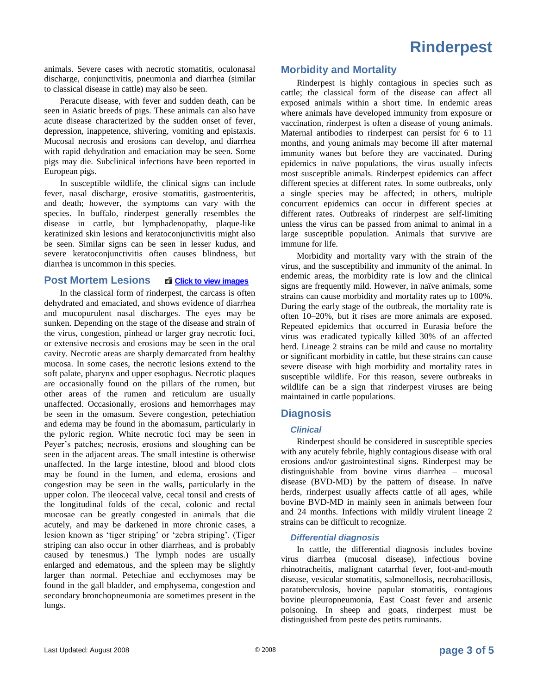# **Rinderpest**

animals. Severe cases with necrotic stomatitis, oculonasal discharge, conjunctivitis, pneumonia and diarrhea (similar to classical disease in cattle) may also be seen.

Peracute disease, with fever and sudden death, can be seen in Asiatic breeds of pigs. These animals can also have acute disease characterized by the sudden onset of fever, depression, inappetence, shivering, vomiting and epistaxis. Mucosal necrosis and erosions can develop, and diarrhea with rapid dehydration and emaciation may be seen. Some pigs may die. Subclinical infections have been reported in European pigs.

In susceptible wildlife, the clinical signs can include fever, nasal discharge, erosive stomatitis, gastroenteritis, and death; however, the symptoms can vary with the species. In buffalo, rinderpest generally resembles the disease in cattle, but lymphadenopathy, plaque-like keratinized skin lesions and keratoconjunctivitis might also be seen. Similar signs can be seen in lesser kudus, and severe keratoconjunctivitis often causes blindness, but diarrhea is uncommon in this species.

### **Post Mortem Lesions <b>Click** to view images

In the classical form of rinderpest, the carcass is often dehydrated and emaciated, and shows evidence of diarrhea and mucopurulent nasal discharges. The eyes may be sunken. Depending on the stage of the disease and strain of the virus, congestion, pinhead or larger gray necrotic foci, or extensive necrosis and erosions may be seen in the oral cavity. Necrotic areas are sharply demarcated from healthy mucosa. In some cases, the necrotic lesions extend to the soft palate, pharynx and upper esophagus. Necrotic plaques are occasionally found on the pillars of the rumen, but other areas of the rumen and reticulum are usually unaffected. Occasionally, erosions and hemorrhages may be seen in the omasum. Severe congestion, petechiation and edema may be found in the abomasum, particularly in the pyloric region. White necrotic foci may be seen in Peyer's patches; necrosis, erosions and sloughing can be seen in the adjacent areas. The small intestine is otherwise unaffected. In the large intestine, blood and blood clots may be found in the lumen, and edema, erosions and congestion may be seen in the walls, particularly in the upper colon. The ileocecal valve, cecal tonsil and crests of the longitudinal folds of the cecal, colonic and rectal mucosae can be greatly congested in animals that die acutely, and may be darkened in more chronic cases, a lesion known as 'tiger striping' or 'zebra striping'. (Tiger striping can also occur in other diarrheas, and is probably caused by tenesmus.) The lymph nodes are usually enlarged and edematous, and the spleen may be slightly larger than normal. Petechiae and ecchymoses may be found in the gall bladder, and emphysema, congestion and secondary bronchopneumonia are sometimes present in the lungs.

## **Morbidity and Mortality**

Rinderpest is highly contagious in species such as cattle; the classical form of the disease can affect all exposed animals within a short time. In endemic areas where animals have developed immunity from exposure or vaccination, rinderpest is often a disease of young animals. Maternal antibodies to rinderpest can persist for 6 to 11 months, and young animals may become ill after maternal immunity wanes but before they are vaccinated. During epidemics in naïve populations, the virus usually infects most susceptible animals. Rinderpest epidemics can affect different species at different rates. In some outbreaks, only a single species may be affected; in others, multiple concurrent epidemics can occur in different species at different rates. Outbreaks of rinderpest are self-limiting unless the virus can be passed from animal to animal in a large susceptible population. Animals that survive are immune for life.

Morbidity and mortality vary with the strain of the virus, and the susceptibility and immunity of the animal. In endemic areas, the morbidity rate is low and the clinical signs are frequently mild. However, in naïve animals, some strains can cause morbidity and mortality rates up to 100%. During the early stage of the outbreak, the mortality rate is often 10–20%, but it rises are more animals are exposed. Repeated epidemics that occurred in Eurasia before the virus was eradicated typically killed 30% of an affected herd. Lineage 2 strains can be mild and cause no mortality or significant morbidity in cattle, but these strains can cause severe disease with high morbidity and mortality rates in susceptible wildlife. For this reason, severe outbreaks in wildlife can be a sign that rinderpest viruses are being maintained in cattle populations.

### **Diagnosis**

#### *Clinical*

Rinderpest should be considered in susceptible species with any acutely febrile, highly contagious disease with oral erosions and/or gastrointestinal signs. Rinderpest may be distinguishable from bovine virus diarrhea – mucosal disease (BVD-MD) by the pattern of disease. In naïve herds, rinderpest usually affects cattle of all ages, while bovine BVD-MD in mainly seen in animals between four and 24 months. Infections with mildly virulent lineage 2 strains can be difficult to recognize.

#### *Differential diagnosis*

In cattle, the differential diagnosis includes bovine virus diarrhea (mucosal disease), infectious bovine rhinotracheitis, malignant catarrhal fever, foot-and-mouth disease, vesicular stomatitis, salmonellosis, necrobacillosis, paratuberculosis, bovine papular stomatitis, contagious bovine pleuropneumonia, East Coast fever and arsenic poisoning. In sheep and goats, rinderpest must be distinguished from peste des petits ruminants.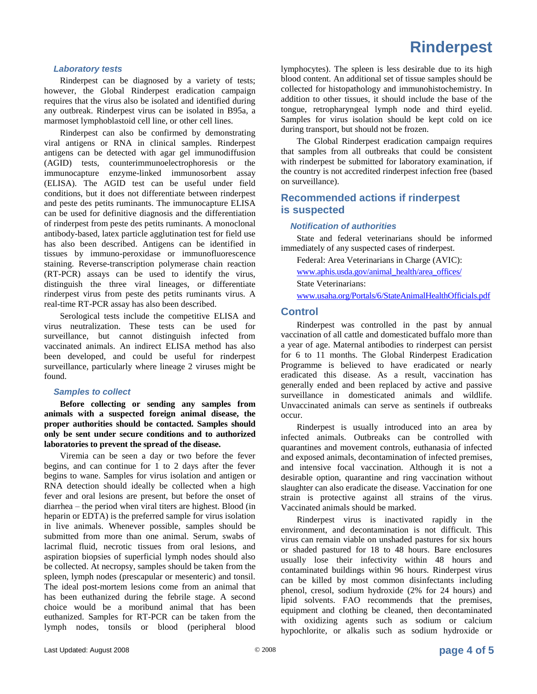# **Rinderpest**

#### *Laboratory tests*

Rinderpest can be diagnosed by a variety of tests; however, the Global Rinderpest eradication campaign requires that the virus also be isolated and identified during any outbreak. Rinderpest virus can be isolated in B95a, a marmoset lymphoblastoid cell line, or other cell lines.

Rinderpest can also be confirmed by demonstrating viral antigens or RNA in clinical samples. Rinderpest antigens can be detected with agar gel immunodiffusion (AGID) tests, counterimmunoelectrophoresis or the immunocapture enzyme-linked immunosorbent assay (ELISA). The AGID test can be useful under field conditions, but it does not differentiate between rinderpest and peste des petits ruminants. The immunocapture ELISA can be used for definitive diagnosis and the differentiation of rinderpest from peste des petits ruminants. A monoclonal antibody-based, latex particle agglutination test for field use has also been described. Antigens can be identified in tissues by immuno-peroxidase or immunofluorescence staining. Reverse-transcription polymerase chain reaction (RT-PCR) assays can be used to identify the virus, distinguish the three viral lineages, or differentiate rinderpest virus from peste des petits ruminants virus. A real-time RT-PCR assay has also been described.

Serological tests include the competitive ELISA and virus neutralization. These tests can be used for surveillance, but cannot distinguish infected from vaccinated animals. An indirect ELISA method has also been developed, and could be useful for rinderpest surveillance, particularly where lineage 2 viruses might be found.

#### *Samples to collect*

**Before collecting or sending any samples from animals with a suspected foreign animal disease, the proper authorities should be contacted. Samples should only be sent under secure conditions and to authorized laboratories to prevent the spread of the disease.**

Viremia can be seen a day or two before the fever begins, and can continue for 1 to 2 days after the fever begins to wane. Samples for virus isolation and antigen or RNA detection should ideally be collected when a high fever and oral lesions are present, but before the onset of diarrhea – the period when viral titers are highest. Blood (in heparin or EDTA) is the preferred sample for virus isolation in live animals. Whenever possible, samples should be submitted from more than one animal. Serum, swabs of lacrimal fluid, necrotic tissues from oral lesions, and aspiration biopsies of superficial lymph nodes should also be collected. At necropsy, samples should be taken from the spleen, lymph nodes (prescapular or mesenteric) and tonsil. The ideal post-mortem lesions come from an animal that has been euthanized during the febrile stage. A second choice would be a moribund animal that has been euthanized. Samples for RT-PCR can be taken from the lymph nodes, tonsils or blood (peripheral blood

lymphocytes). The spleen is less desirable due to its high blood content. An additional set of tissue samples should be collected for histopathology and immunohistochemistry. In addition to other tissues, it should include the base of the tongue, retropharyngeal lymph node and third eyelid. Samples for virus isolation should be kept cold on ice during transport, but should not be frozen.

The Global Rinderpest eradication campaign requires that samples from all outbreaks that could be consistent with rinderpest be submitted for laboratory examination, if the country is not accredited rinderpest infection free (based on surveillance).

# **Recommended actions if rinderpest is suspected**

#### *Notification of authorities*

State and federal veterinarians should be informed immediately of any suspected cases of rinderpest.

Federal: Area Veterinarians in Charge (AVIC): [www.aphis.usda.gov/animal\\_health/area\\_offices/](http://www.aphis.usda.gov/animal_health/area_offices/) State Veterinarians: [www.usaha.org/Portals/6/StateAnimalHealthOfficials.pdf](http://www.usaha.org/Portals/6/StateAnimalHealthOfficials.pdf)

#### **Control**

Rinderpest was controlled in the past by annual vaccination of all cattle and domesticated buffalo more than a year of age. Maternal antibodies to rinderpest can persist for 6 to 11 months. The Global Rinderpest Eradication Programme is believed to have eradicated or nearly eradicated this disease. As a result, vaccination has generally ended and been replaced by active and passive surveillance in domesticated animals and wildlife. Unvaccinated animals can serve as sentinels if outbreaks occur.

Rinderpest is usually introduced into an area by infected animals. Outbreaks can be controlled with quarantines and movement controls, euthanasia of infected and exposed animals, decontamination of infected premises, and intensive focal vaccination. Although it is not a desirable option, quarantine and ring vaccination without slaughter can also eradicate the disease. Vaccination for one strain is protective against all strains of the virus. Vaccinated animals should be marked.

Rinderpest virus is inactivated rapidly in the environment, and decontamination is not difficult. This virus can remain viable on unshaded pastures for six hours or shaded pastured for 18 to 48 hours. Bare enclosures usually lose their infectivity within 48 hours and contaminated buildings within 96 hours. Rinderpest virus can be killed by most common disinfectants including phenol, cresol, sodium hydroxide (2% for 24 hours) and lipid solvents. FAO recommends that the premises, equipment and clothing be cleaned, then decontaminated with oxidizing agents such as sodium or calcium hypochlorite, or alkalis such as sodium hydroxide or